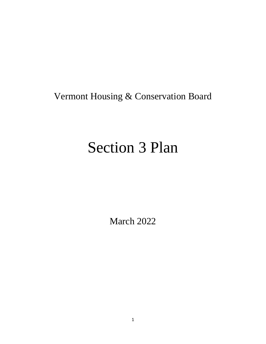# Vermont Housing & Conservation Board

# Section 3 Plan

March 2022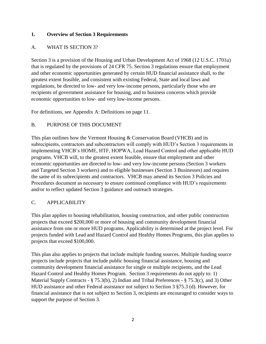#### **1. Overview of Section 3 Requirements**

#### A. WHAT IS SECTION 3?

Section 3 is a provision of the Housing and Urban Development Act of 1968 (12 U.S.C. 1701u) that is regulated by the provisions of 24 CFR 75. Section 3 regulations ensure that employment and other economic opportunities generated by certain HUD financial assistance shall, to the greatest extent feasible, and consistent with existing Federal, State and local laws and regulations, be directed to low- and very low-income persons, particularly those who are recipients of government assistance for housing, and to business concerns which provide economic opportunities to low- and very low-income persons.

For definitions, see Appendix A: Definitions on page 11.

#### B. PURPOSE OF THIS DOCUMENT

This plan outlines how the Vermont Housing & Conservation Board (VHCB) and its subrecipients, contractors and subcontractors will comply with HUD's Section 3 requirements in implementing VHCB's HOME, HTF, HOPWA, Lead Hazard Control and other applicable HUD programs. VHCB will, to the greatest extent feasible, ensure that employment and other economic opportunities are directed to low- and very low-income persons (Section 3 workers and Targeted Section 3 workers) and to eligible businesses (Section 3 Businesses) and requires the same of its subrecipients and contractors. VHCB may amend its Section 3 Policies and Procedures document as necessary to ensure continued compliance with HUD's requirements and/or to reflect updated Section 3 guidance and outreach strategies.

# C. APPLICABILITY

This plan applies to housing rehabilitation, housing construction, and other public construction projects that exceed \$200,000 or more of housing and community development financial assistance from one or more HUD programs. Applicability is determined at the project level. For projects funded with Lead and Hazard Control and Healthy Homes Programs, this plan applies to projects that exceed \$100,000.

This plan also applies to projects that include multiple funding sources. Multiple funding source projects include projects that include public housing financial assistance, housing and community development financial assistance for single or multiple recipients, and the Lead Hazard Control and Healthy Homes Program. Section 3 requirements do not apply to: 1) Material Supply Contracts - § 75.3(b), 2) Indian and Tribal Preferences - § 75.3(c), and 3) Other HUD assistance and other Federal assistance not subject to Section 3 §75.3 (d). However, for financial assistance that is not subject to Section 3, recipients are encouraged to consider ways to support the purpose of Section 3.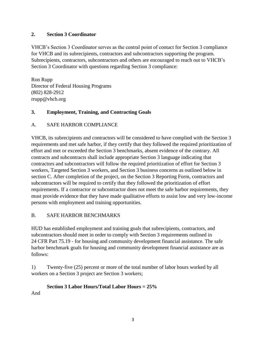#### **2. Section 3 Coordinator**

VHCB's Section 3 Coordinator serves as the central point of contact for Section 3 compliance for VHCB and its subrecipients, contractors and subcontractors supporting the program. Subrecipients, contractors, subcontractors and others are encouraged to reach out to VHCB's Section 3 Coordinator with questions regarding Section 3 compliance:

Ron Rupp Director of Federal Housing Programs (802) 828-2912 rrupp@vhcb.org

# **3. Employment, Training, and Contracting Goals**

# A. SAFE HARBOR COMPLIANCE

VHCB, its subrecipients and contractors will be considered to have complied with the Section 3 requirements and met safe harbor, if they certify that they followed the required prioritization of effort and met or exceeded the Section 3 benchmarks, absent evidence of the contrary. All contracts and subcontracts shall include appropriate Section 3 language indicating that contractors and subcontractors will follow the required prioritization of effort for Section 3 workers, Targeted Section 3 workers, and Section 3 business concerns as outlined below in section C. After completion of the project, on the Section 3 Reporting Form, contractors and subcontractors will be required to certify that they followed the prioritization of effort requirements. If a contractor or subcontractor does not meet the safe harbor requirements, they must provide evidence that they have made qualitative efforts to assist low and very low-income persons with employment and training opportunities.

# B. SAFE HARBOR BENCHMARKS

HUD has established employment and training goals that subrecipients, contractors, and subcontractors should meet in order to comply with Section 3 requirements outlined in 24 CFR Part 75.19 - for housing and community development financial assistance. The safe harbor benchmark goals for housing and community development financial assistance are as follows:

1) Twenty-five (25) percent or more of the total number of labor hours worked by all workers on a Section 3 project are Section 3 workers;

# **Section 3 Labor Hours/Total Labor Hours = 25%**

And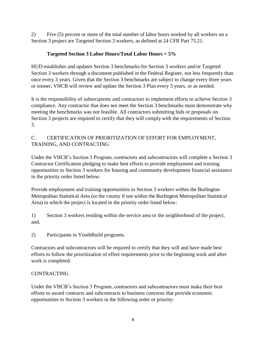2) Five (5) percent or more of the total number of labor hours worked by all workers on a Section 3 project are Targeted Section 3 workers, as defined at 24 CFR Part 75.21.

# **Targeted Section 3 Labor Hours/Total Labor Hours = 5%**

HUD establishes and updates Section 3 benchmarks for Section 3 workers and/or Targeted Section 3 workers through a document published in the Federal Register, not less frequently than once every 3 years. Given that the Section 3 benchmarks are subject to change every three years or sooner, VHCB will review and update the Section 3 Plan every 3 years, or as needed.

It is the responsibility of subrecipients and contractors to implement efforts to achieve Section 3 compliance. Any contractor that does not meet the Section 3 benchmarks must demonstrate why meeting the benchmarks was not feasible. All contractors submitting bids or proposals on Section 3 projects are required to certify that they will comply with the requirements of Section 3.

# C. CERTIFICATION OF PRIORITIZATION OF EFFORT FOR EMPLOYMENT, TRAINING, AND CONTRACTING

Under the VHCB's Section 3 Program, contractors and subcontractors will complete a Section 3 Contractor Certification pledging to make best efforts to provide employment and training opportunities to Section 3 workers for housing and community development financial assistance in the priority order listed below:

Provide employment and training opportunities to Section 3 workers within the Burlington Metropolitan Statistical Area (or the county if not within the Burlington Metropolitan Statistical Area) in which the project is located in the priority order listed below:

1) Section 3 workers residing within the service area or the neighborhood of the project, and,

2) Participants in YouthBuild programs.

Contractors and subcontractors will be required to certify that they will and have made best efforts to follow the prioritization of effort requirements prior to the beginning work and after work is completed.

# CONTRACTING

Under the VHCB's Section 3 Program, contractors and subcontractors must make their best efforts to award contracts and subcontracts to business concerns that provide economic opportunities to Section 3 workers in the following order or priority: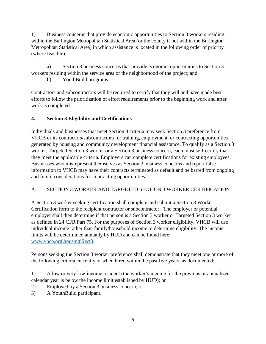1) Business concerns that provide economic opportunities to Section 3 workers residing within the Burlington Metropolitan Statistical Area (or the county if not within the Burlington Metropolitan Statistical Area) in which assistance is located in the following order of priority (where feasible):

a) Section 3 business concerns that provide economic opportunities to Section 3 workers residing within the service area or the neighborhood of the project; and,

b) YouthBuild programs.

Contractors and subcontractors will be required to certify that they will and have made best efforts to follow the prioritization of effort requirements prior to the beginning work and after work is completed.

# **4. Section 3 Eligibility and Certifications**

Individuals and businesses that meet Section 3 criteria may seek Section 3 preference from VHCB or its contractors/subcontractors for training, employment, or contracting opportunities generated by housing and community development financial assistance. To qualify as a Section 3 worker, Targeted Section 3 worker or a Section 3 business concern, each must self-certify that they meet the applicable criteria. Employers can complete certifications for existing employees. Businesses who misrepresent themselves as Section 3 business concerns and report false information to VHCB may have their contracts terminated as default and be barred from ongoing and future considerations for contracting opportunities.

# A. SECTION 3 WORKER AND TARGETED SECTION 3 WORKER CERTIFICATION

A Section 3 worker seeking certification shall complete and submit a Section 3 Worker Certification form to the recipient contractor or subcontractor. The employer or potential employer shall then determine if that person is a Section 3 worker or Targeted Section 3 worker as defined in 24 CFR Part 75. For the purposes of Section 3 worker eligibility, VHCB will use individual income rather than family/household income to determine eligibility. The income limits will be determined annually by HUD and can be found here: [www.vhcb.org\housing\Sect3.](http://www.vhcb.org/housing/Sect3)

Persons seeking the Section 3 worker preference shall demonstrate that they meet one or more of the following criteria currently or when hired within the past five years, as documented:

1) A low or very low-income resident (the worker's income for the previous or annualized calendar year is below the income limit established by HUD); or

- 2) Employed by a Section 3 business concern; or
- 3) A YouthBuild participant.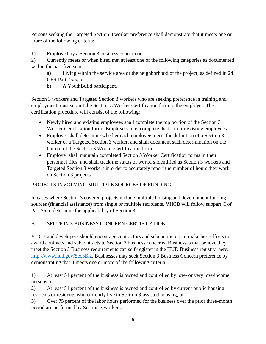Persons seeking the Targeted Section 3 worker preference shall demonstrate that it meets one or more of the following criteria:

1) Employed by a Section 3 business concern or

2) Currently meets or when hired met at least one of the following categories as documented within the past five years:

a) Living within the service area or the neighborhood of the project, as defined in 24 CFR Part 75.5; or

b) A YouthBuild participant.

Section 3 workers and Targeted Section 3 workers who are seeking preference in training and employment must submit the Section 3 Worker Certification form to the employer. The certification procedure will consist of the following:

- Newly hired and existing employees shall complete the top portion of the Section 3 Worker Certification form. Employers may complete the form for existing employees.
- Employer shall determine whether each employee meets the definition of a Section 3 worker or a Targeted Section 3 worker, and shall document such determination on the bottom of the Section 3 Worker Certification form.
- Employer shall maintain completed Section 3 Worker Certification forms in their personnel files; and shall track the status of workers identified as Section 3 workers and Targeted Section 3 workers in order to accurately report the number of hours they work on Section 3 projects.

# PROJECTS INVOLVING MULTIPLE SOURCES OF FUNDING

In cases where Section 3 covered projects include multiple housing and development funding sources (financial assistance) from single or multiple recipients, VHCB will follow subpart C of Part 75 to determine the applicability of Section 3.

# B. SECTION 3 BUSINESS CONCERN CERTIFICATION

VHCB and developers should encourage contractors and subcontractors to make best efforts to award contracts and subcontracts to Section 3 business concerns. Businesses that believe they meet the Section 3 Business requirements can self-register in the HUD Business registry, here: [http://www.hud.gov/Sec3Biz.](http://www.hud.gov/Sec3Biz) Businesses may seek Section 3 Business Concern preference by demonstrating that it meets one or more of the following criteria:

1) At least 51 percent of the business is owned and controlled by low- or very low-income persons; or

2) At least 51 percent of the business is owned and controlled by current public housing residents or residents who currently live in Section 8-assisted housing; or

3) Over 75 percent of the labor hours performed for the business over the prior three-month period are performed by Section 3 workers.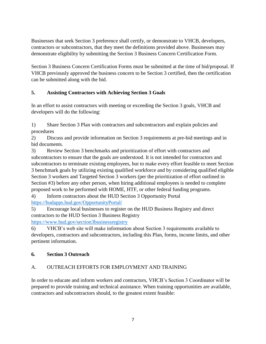Businesses that seek Section 3 preference shall certify, or demonstrate to VHCB, developers, contractors or subcontractors, that they meet the definitions provided above. Businesses may demonstrate eligibility by submitting the Section 3 Business Concern Certification Form.

Section 3 Business Concern Certification Forms must be submitted at the time of bid/proposal. If VHCB previously approved the business concern to be Section 3 certified, then the certification can be submitted along with the bid.

# **5. Assisting Contractors with Achieving Section 3 Goals**

In an effort to assist contractors with meeting or exceeding the Section 3 goals, VHCB and developers will do the following:

1) Share Section 3 Plan with contractors and subcontractors and explain policies and procedures

2) Discuss and provide information on Section 3 requirements at pre-bid meetings and in bid documents.

3) Review Section 3 benchmarks and prioritization of effort with contractors and subcontractors to ensure that the goals are understood. It is not intended for contractors and subcontractors to terminate existing employees, but to make every effort feasible to meet Section 3 benchmark goals by utilizing existing qualified workforce and by considering qualified eligible Section 3 workers and Targeted Section 3 workers (per the prioritization of effort outlined in Section #3) before any other person, when hiring additional employees is needed to complete proposed work to be performed with HOME, HTF, or other federal funding programs.

4) Inform contractors about the HUD Section 3 Opportunity Portal <https://hudapps.hud.gov/OpportunityPortal/>

5) Encourage local businesses to register on the HUD Business Registry and direct contractors to the HUD Section 3 Business Registry

<https://www.hud.gov/section3businessregistry>

6) VHCB's web site will make information about Section 3 requirements available to developers, contractors and subcontractors, including this Plan, forms, income limits, and other pertinent information.

# **6. Section 3 Outreach**

# A. OUTREACH EFFORTS FOR EMPLOYMENT AND TRAINING

In order to educate and inform workers and contractors, VHCB's Section 3 Coordinator will be prepared to provide training and technical assistance. When training opportunities are available, contractors and subcontractors should, to the greatest extent feasible: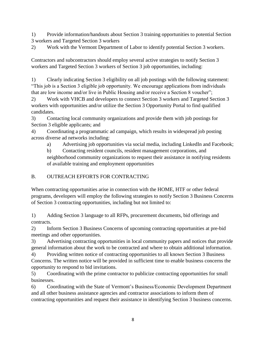1) Provide information/handouts about Section 3 training opportunities to potential Section 3 workers and Targeted Section 3 workers

2) Work with the Vermont Department of Labor to identify potential Section 3 workers.

Contractors and subcontractors should employ several active strategies to notify Section 3 workers and Targeted Section 3 workers of Section 3 job opportunities, including:

1) Clearly indicating Section 3 eligibility on all job postings with the following statement: "This job is a Section 3 eligible job opportunity. We encourage applications from individuals that are low income and/or live in Public Housing and/or receive a Section 8 voucher";

2) Work with VHCB and developers to connect Section 3 workers and Targeted Section 3 workers with opportunities and/or utilize the Section 3 Opportunity Portal to find qualified candidates.

3) Contacting local community organizations and provide them with job postings for Section 3 eligible applicants; and

4) Coordinating a programmatic ad campaign, which results in widespread job posting across diverse ad networks including:

a) Advertising job opportunities via social media, including LinkedIn and Facebook;

b) Contacting resident councils, resident management corporations, and neighborhood community organizations to request their assistance in notifying residents of available training and employment opportunities

# B. OUTREACH EFFORTS FOR CONTRACTING

When contracting opportunities arise in connection with the HOME, HTF or other federal programs, developers will employ the following strategies to notify Section 3 Business Concerns of Section 3 contracting opportunities, including but not limited to:

1) Adding Section 3 language to all RFPs, procurement documents, bid offerings and contracts.

2) Inform Section 3 Business Concerns of upcoming contracting opportunities at pre-bid meetings and other opportunities.

3) Advertising contracting opportunities in local community papers and notices that provide general information about the work to be contracted and where to obtain additional information.

4) Providing written notice of contracting opportunities to all known Section 3 Business Concerns. The written notice will be provided in sufficient time to enable business concerns the opportunity to respond to bid invitations.

5) Coordinating with the prime contractor to publicize contracting opportunities for small businesses.

6) Coordinating with the State of Vermont's Business/Economic Development Department and all other business assistance agencies and contractor associations to inform them of contracting opportunities and request their assistance in identifying Section 3 business concerns.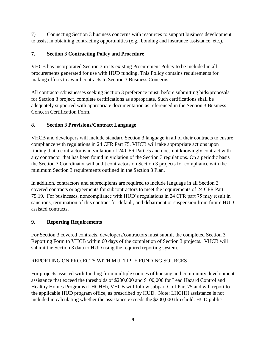7) Connecting Section 3 business concerns with resources to support business development to assist in obtaining contracting opportunities (e.g., bonding and insurance assistance, etc.).

# **7. Section 3 Contracting Policy and Procedure**

VHCB has incorporated Section 3 in its existing Procurement Policy to be included in all procurements generated for use with HUD funding. This Policy contains requirements for making efforts to award contracts to Section 3 Business Concerns.

All contractors/businesses seeking Section 3 preference must, before submitting bids/proposals for Section 3 project, complete certifications as appropriate. Such certifications shall be adequately supported with appropriate documentation as referenced in the Section 3 Business Concern Certification Form.

# **8. Section 3 Provisions/Contract Language**

VHCB and developers will include standard Section 3 language in all of their contracts to ensure compliance with regulations in 24 CFR Part 75. VHCB will take appropriate actions upon finding that a contractor is in violation of 24 CFR Part 75 and does not knowingly contract with any contractor that has been found in violation of the Section 3 regulations. On a periodic basis the Section 3 Coordinator will audit contractors on Section 3 projects for compliance with the minimum Section 3 requirements outlined in the Section 3 Plan.

In addition, contractors and subrecipients are required to include language in all Section 3 covered contracts or agreements for subcontractors to meet the requirements of 24 CFR Part 75.19. For businesses, noncompliance with HUD's regulations in 24 CFR part 75 may result in sanctions, termination of this contract for default, and debarment or suspension from future HUD assisted contracts.

# **9. Reporting Requirements**

For Section 3 covered contracts, developers/contractors must submit the completed Section 3 Reporting Form to VHCB within 60 days of the completion of Section 3 projects. VHCB will submit the Section 3 data to HUD using the required reporting system.

# REPORTING ON PROJECTS WITH MULTIPLE FUNDING SOURCES

For projects assisted with funding from multiple sources of housing and community development assistance that exceed the thresholds of \$200,000 and \$100,000 for Lead Hazard Control and Healthy Homes Programs (LHCHH), VHCB will follow subpart C of Part 75 and will report to the applicable HUD program office, as prescribed by HUD. Note: LHCHH assistance is not included in calculating whether the assistance exceeds the \$200,000 threshold. HUD public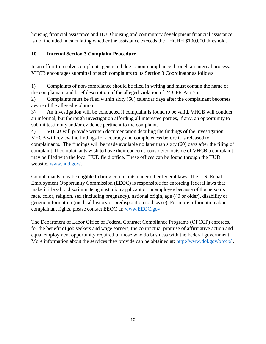housing financial assistance and HUD housing and community development financial assistance is not included in calculating whether the assistance exceeds the LHCHH \$100,000 threshold.

# **10. Internal Section 3 Complaint Procedure**

In an effort to resolve complaints generated due to non-compliance through an internal process, VHCB encourages submittal of such complaints to its Section 3 Coordinator as follows:

1) Complaints of non-compliance should be filed in writing and must contain the name of the complainant and brief description of the alleged violation of 24 CFR Part 75.

2) Complaints must be filed within sixty (60) calendar days after the complainant becomes aware of the alleged violation.

3) An investigation will be conducted if complaint is found to be valid. VHCB will conduct an informal, but thorough investigation affording all interested parties, if any, an opportunity to submit testimony and/or evidence pertinent to the complaint.

4) VHCB will provide written documentation detailing the findings of the investigation. VHCB will review the findings for accuracy and completeness before it is released to complainants. The findings will be made available no later than sixty (60) days after the filing of complaint. If complainants wish to have their concerns considered outside of VHCB a complaint may be filed with the local HUD field office. These offices can be found through the HUD website, [www.hud.gov/.](file:///C:/Users/beth/AppData/Local/Microsoft/Windows/INetCache/Content.Outlook/HA9EI0P8/www.hud.gov/)

Complainants may be eligible to bring complaints under other federal laws. The U.S. Equal Employment Opportunity Commission (EEOC) is responsible for enforcing federal laws that make it illegal to discriminate against a job applicant or an employee because of the person's race, color, religion, sex (including pregnancy), national origin, age (40 or older), disability or genetic information (medical history or predisposition to disease). For more information about complainant rights, please contact EEOC at: [www.EEOC.gov.](http://www.eeoc.gov/)

The Department of Labor Office of Federal Contract Compliance Programs (OFCCP) enforces, for the benefit of job seekers and wage earners, the contractual promise of affirmative action and equal employment opportunity required of those who do business with the Federal government. More information about the services they provide can be obtained at:<http://www.dol.gov/ofccp/>.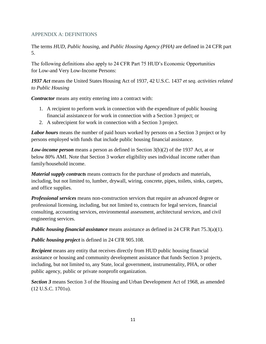#### APPENDIX A: DEFINITIONS

The terms *HUD, Public housing,* and *Public Housing Agency (PHA)* are defined in 24 CFR part 5.

The following definitions also apply to 24 CFR Part 75 HUD's Economic Opportunities for Low-and Very Low-Income Persons:

*1937 Act* means the United States Housing Act of 1937, 42 U.S.C. 1437 *et seq. activities related to Public Housing*

*Contractor* means any entity entering into a contract with:

- 1. A recipient to perform work in connection with the expenditure of public housing financial assistance or for work in connection with a Section 3 project; or
- 2. A subrecipient for work in connection with a Section 3 project.

*Labor hours* means the number of paid hours worked by persons on a Section 3 project or by persons employed with funds that include public housing financial assistance.

*Low-income person* means a person as defined in Section 3(b)(2) of the 1937 Act, at or below 80% AMI. Note that Section 3 worker eligibility uses individual income rather than family/household income.

*Material supply contracts* means contracts for the purchase of products and materials, including, but not limited to, lumber, drywall, wiring, concrete, pipes, toilets, sinks, carpets, and office supplies.

*Professional services* means non-construction services that require an advanced degree or professional licensing, including, but not limited to, contracts for legal services, financial consulting, accounting services, environmental assessment, architectural services, and civil engineering services.

*Public housing financial assistance* means assistance as defined in 24 CFR Part 75.3(a)(1).

*Public housing project* is defined in 24 CFR 905.108.

*Recipient* means any entity that receives directly from HUD public housing financial assistance or housing and community development assistance that funds Section 3 projects, including, but not limited to, any State, local government, instrumentality, PHA, or other public agency, public or private nonprofit organization.

*Section 3* means Section 3 of the Housing and Urban Development Act of 1968, as amended (12 U.S.C. 1701u).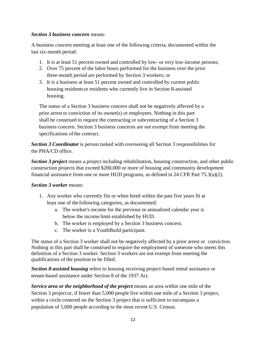#### *Section 3 business concern* means:

A business concern meeting at least one of the following criteria, documented within the last six-month period:

- 1. It is at least 51 percent owned and controlled by low- or very low-income persons;
- 2. Over 75 percent of the labor hours performed for the business over the prior three-month period are performed by Section 3 workers; or
- 3. It is a business at least 51 percent owned and controlled by current public housing residents or residents who currently live in Section 8-assisted housing.

The status of a Section 3 business concern shall not be negatively affected by a prior arrest or conviction of its owner(s) or employees. Nothing in this part shall be construed to require the contracting or subcontracting of a Section 3 business concern. Section 3 business concerns are not exempt from meeting the specifications of the contract.

**Section 3 Coordinator** is person tasked with overseeing all Section 3 responsibilities for the PHA/CD office.

*Section 3 project* means a project including rehabilitation, housing construction, and other public construction projects that exceed \$200,000 or more of housing and community development financial assistance from one or more HUD programs, as defined in 24 CFR Part  $(75.3(a)(2))$ .

# *Section 3 worker* means:

- 1. Any worker who currently fits or when hired within the past five years fit at least one of the following categories, as documented:
	- a. The worker's income for the previous or annualized calendar year is below the income limit established by HUD.
	- b. The worker is employed by a Section 3 business concern.
	- c. The worker is a YouthBuild participant.

The status of a Section 3 worker shall not be negatively affected by a prior arrest or conviction. Nothing in this part shall be construed to require the employment of someone who meets this definition of a Section 3 worker. Section 3 workers are not exempt from meeting the qualifications of the position to be filled.

*Section 8-assisted housing* refers to housing receiving project-based rental assistance or tenant-based assistance under Section 8 of the 1937 Act.

*Service area or the neighborhood of the project* means an area within one mile of the Section 3 project or, if fewer than 5,000 people live within one mile of a Section 3 project, within a circle centered on the Section 3 project that is sufficient to encompass a population of 5,000 people according to the most recent U.S. Census.